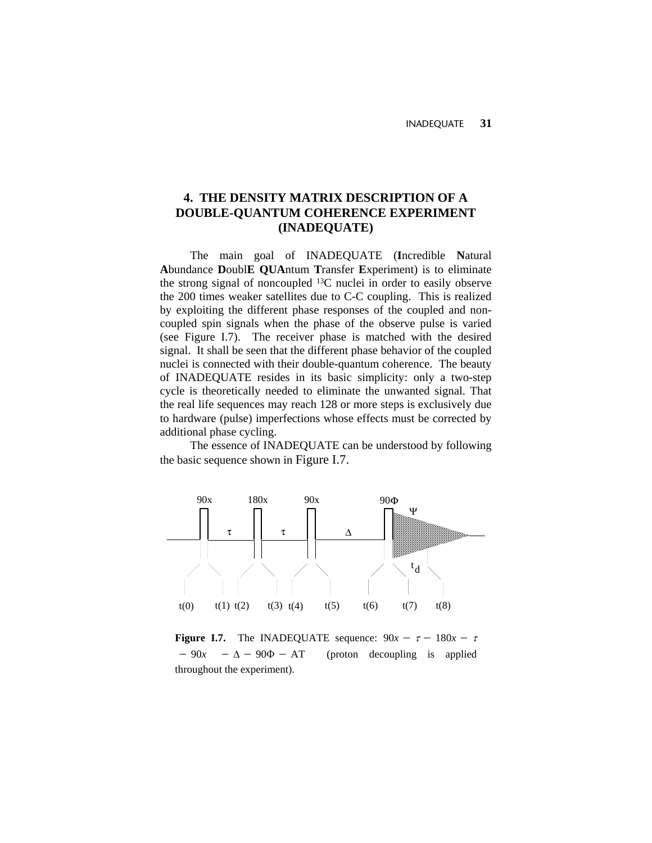# **4. THE DENSITY MATRIX DESCRIPTION OF A DOUBLE-QUANTUM COHERENCE EXPERIMENT (INADEQUATE)**

The main goal of INADEQUATE (**I**ncredible **N**atural **A**bundance **D**oubl**E QUA**ntum **T**ransfer **E**xperiment) is to eliminate the strong signal of noncoupled 13C nuclei in order to easily observe the 200 times weaker satellites due to C-C coupling. This is realized by exploiting the different phase responses of the coupled and noncoupled spin signals when the phase of the observe pulse is varied (see Figure I.7). The receiver phase is matched with the desired signal. It shall be seen that the different phase behavior of the coupled nuclei is connected with their double-quantum coherence. The beauty of INADEQUATE resides in its basic simplicity: only a two-step cycle is theoretically needed to eliminate the unwanted signal. That the real life sequences may reach 128 or more steps is exclusively due to hardware (pulse) imperfections whose effects must be corrected by additional phase cycling.

The essence of INADEQUATE can be understood by following the basic sequence shown in Figure I.7.



**Figure I.7.** The INADEQUATE sequence:  $90x - \tau - 180x - \tau$  $-90x - \Delta - 90\Phi - AT$ (proton decoupling is applied throughout the experiment).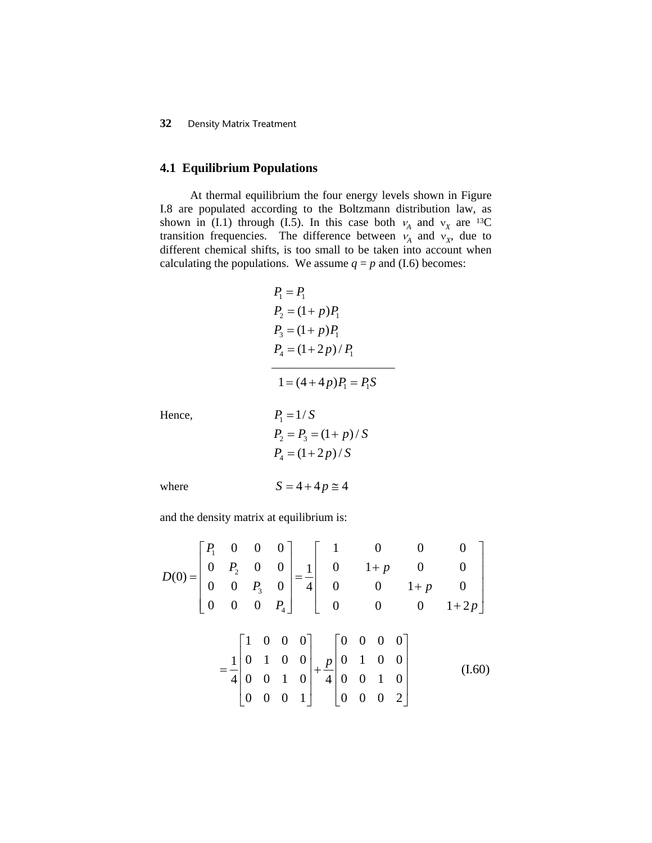# **4.1 Equilibrium Populations**

At thermal equilibrium the four energy levels shown in Figure I.8 are populated according to the Boltzmann distribution law, as shown in (I.1) through (I.5). In this case both  $v_A$  and  $v_X$  are <sup>13</sup>C transition frequencies. The difference between  $v_A$  and  $v_X$ , due to different chemical shifts, is too small to be taken into account when calculating the populations. We assume  $q = p$  and (I.6) becomes:

$$
P_1 = P_1
$$
  
\n
$$
P_2 = (1 + p)P_1
$$
  
\n
$$
P_3 = (1 + p)P_1
$$
  
\n
$$
P_4 = (1 + 2p) / P_1
$$
  
\n
$$
1 = (4 + 4p)P_1 = P_1S
$$

Hence,  
\n
$$
P_1 = 1/S
$$
  
\n $P_2 = P_3 = (1 + p)/S$   
\n $P_4 = (1 + 2p)/S$ 

where  $S = 4 + 4p \approx 4$ 

$$
= 4 + 4p =
$$

and the density matrix at equilibrium is:

$$
D(0) = \begin{bmatrix} P_1 & 0 & 0 & 0 \\ 0 & P_2 & 0 & 0 \\ 0 & 0 & P_3 & 0 \\ 0 & 0 & 0 & P_4 \end{bmatrix} = \frac{1}{4} \begin{bmatrix} 1 & 0 & 0 & 0 \\ 0 & 1+p & 0 & 0 \\ 0 & 0 & 1+p & 0 \\ 0 & 0 & 0 & 1+2p \end{bmatrix}
$$

$$
= \frac{1}{4} \begin{bmatrix} 1 & 0 & 0 & 0 \\ 0 & 1 & 0 & 0 \\ 0 & 0 & 1 & 0 \\ 0 & 0 & 0 & 1 \end{bmatrix} + \frac{p}{4} \begin{bmatrix} 0 & 0 & 0 & 0 \\ 0 & 1 & 0 & 0 \\ 0 & 0 & 1 & 0 \\ 0 & 0 & 0 & 2 \end{bmatrix}
$$
(I.60)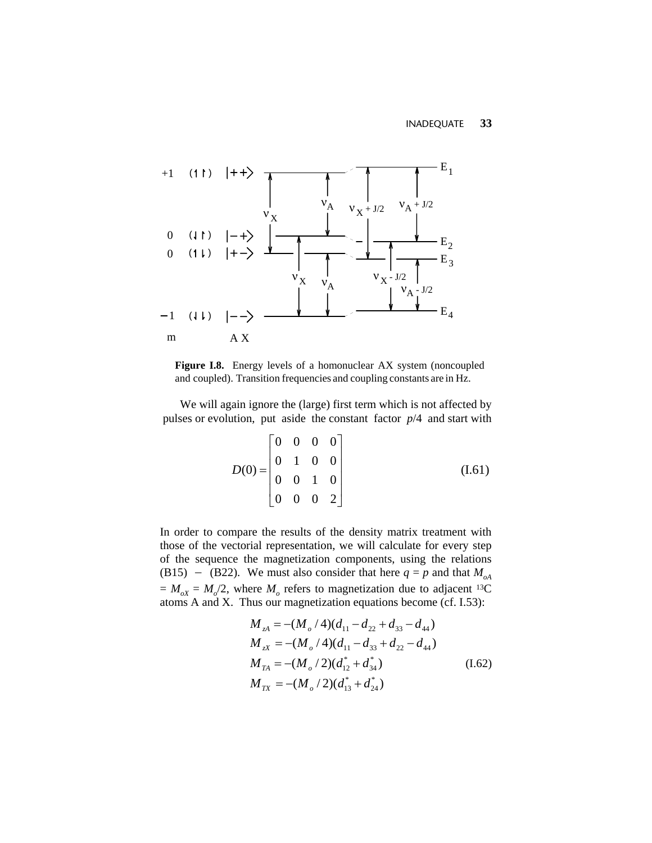

**Figure I.8.** Energy levels of a homonuclear AX system (noncoupled and coupled). Transition frequencies and coupling constants are in Hz.

We will again ignore the (large) first term which is not affected by pulses or evolution, put aside the constant factor *p*/4 and start with

$$
D(0) = \begin{bmatrix} 0 & 0 & 0 & 0 \\ 0 & 1 & 0 & 0 \\ 0 & 0 & 1 & 0 \\ 0 & 0 & 0 & 2 \end{bmatrix}
$$
 (I.61)

In order to compare the results of the density matrix treatment with those of the vectorial representation, we will calculate for every step of the sequence the magnetization components, using the relations (B15) – (B22). We must also consider that here  $q = p$  and that  $M_{oA}$  $= M_{oX} = M_o/2$ , where  $M_o$  refers to magnetization due to adjacent <sup>13</sup>C atoms A and X. Thus our magnetization equations become (cf. I.53):

$$
M_{zA} = -(M_o / 4)(d_{11} - d_{22} + d_{33} - d_{44})
$$
  
\n
$$
M_{zx} = -(M_o / 4)(d_{11} - d_{33} + d_{22} - d_{44})
$$
  
\n
$$
M_{TA} = -(M_o / 2)(d_{12}^* + d_{34}^*)
$$
  
\n
$$
M_{TX} = -(M_o / 2)(d_{13}^* + d_{24}^*)
$$
\n(1.62)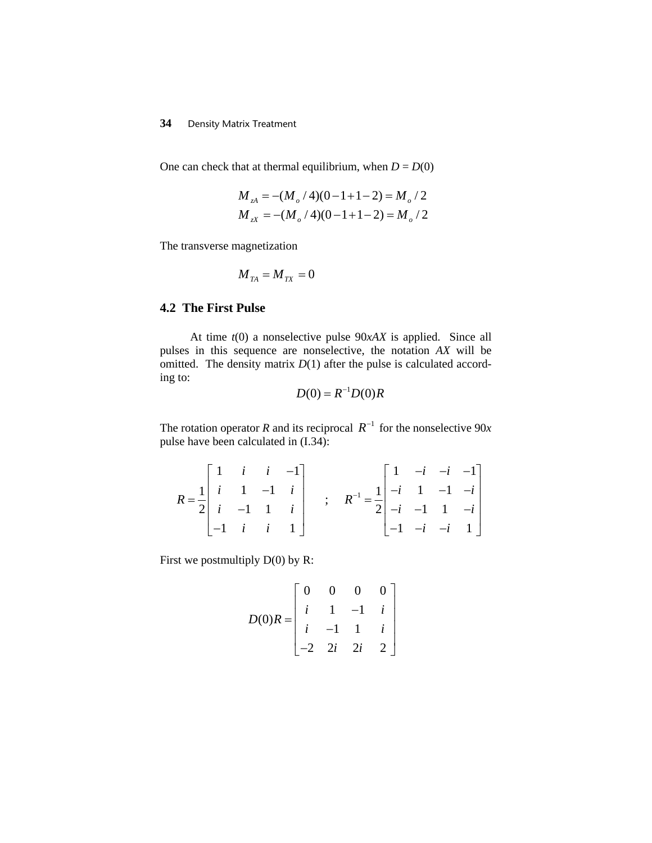One can check that at thermal equilibrium, when  $D = D(0)$ 

$$
M_{A} = -(M_{o}/4)(0 - 1 + 1 - 2) = M_{o}/2
$$
  

$$
M_{X} = -(M_{o}/4)(0 - 1 + 1 - 2) = M_{o}/2
$$

The transverse magnetization

$$
M_{\rm \scriptscriptstyle TA}=M_{\rm \scriptscriptstyle TX}=0
$$

# **4.2 The First Pulse**

 At time *t*(0) a nonselective pulse 90*xAX* is applied. Since all pulses in this sequence are nonselective, the notation *AX* will be omitted. The density matrix  $D(1)$  after the pulse is calculated according to:

$$
D(0) = R^{-1}D(0)R
$$

The rotation operator *R* and its reciprocal  $R^{-1}$  for the nonselective 90*x* pulse have been calculated in (I.34):

$$
R = \frac{1}{2} \begin{bmatrix} 1 & i & i & -1 \\ i & 1 & -1 & i \\ i & -1 & 1 & i \\ -1 & i & i & 1 \end{bmatrix} \quad ; \quad R^{-1} = \frac{1}{2} \begin{bmatrix} 1 & -i & -i & -1 \\ -i & 1 & -1 & -i \\ -i & -1 & 1 & -i \\ -1 & -i & -i & 1 \end{bmatrix}
$$

First we postmultiply D(0) by R:

$$
D(0)R = \begin{bmatrix} 0 & 0 & 0 & 0 \\ i & 1 & -1 & i \\ i & -1 & 1 & i \\ -2 & 2i & 2i & 2 \end{bmatrix}
$$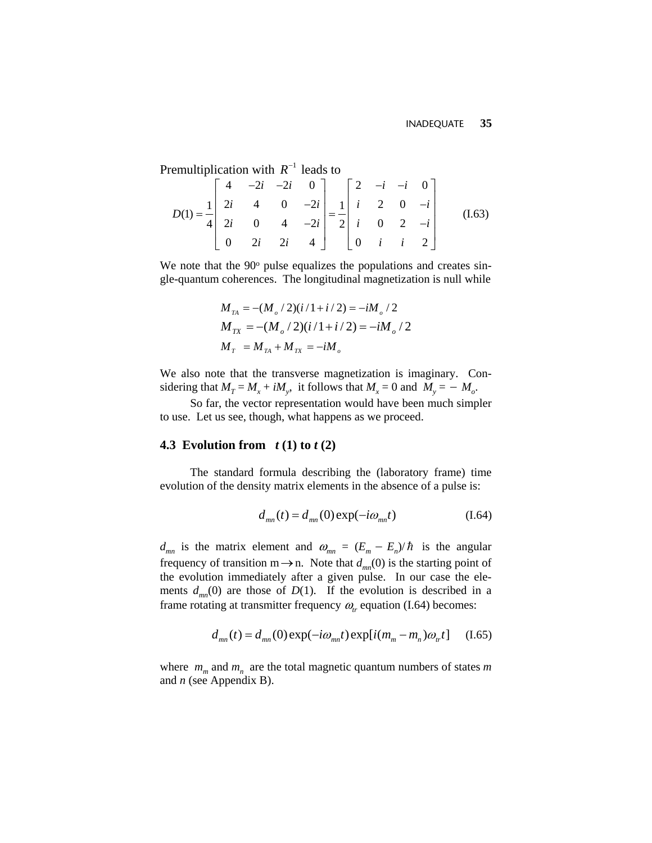Premultiplication with  $R^{-1}$  leads to

$$
D(1) = \frac{1}{4} \begin{bmatrix} 4 & -2i & -2i & 0 \\ 2i & 4 & 0 & -2i \\ 2i & 0 & 4 & -2i \\ 0 & 2i & 2i & 4 \end{bmatrix} = \frac{1}{2} \begin{bmatrix} 2 & -i & -i & 0 \\ i & 2 & 0 & -i \\ i & 0 & 2 & -i \\ 0 & i & i & 2 \end{bmatrix}
$$
 (I.63)

We note that the  $90^\circ$  pulse equalizes the populations and creates single-quantum coherences. The longitudinal magnetization is null while

$$
M_{TA} = -(M_{_o}/2)(i/1+i/2) = -iM_{_o}/2
$$
  
\n
$$
M_{TX} = -(M_{_o}/2)(i/1+i/2) = -iM_{_o}/2
$$
  
\n
$$
M_{_T} = M_{_{TA}} + M_{_{TX}} = -iM_{_o}
$$

We also note that the transverse magnetization is imaginary. Considering that  $M_T = M_x + iM_y$ , it follows that  $M_x = 0$  and  $M_y = -M_o$ .

So far, the vector representation would have been much simpler to use. Let us see, though, what happens as we proceed.

## **4.3 Evolution from** *t* **(1) to** *t* **(2)**

The standard formula describing the (laboratory frame) time evolution of the density matrix elements in the absence of a pulse is:

$$
d_{mn}(t) = d_{mn}(0) \exp(-i\omega_{mn}t)
$$
 (I.64)

 $d_{mn}$  is the matrix element and  $\omega_{mn} = (E_m - E_n)/\hbar$  is the angular frequency of transition  $m \rightarrow n$ . Note that  $d_{mn}(0)$  is the starting point of the evolution immediately after a given pulse. In our case the elements  $d_{mn}(0)$  are those of  $D(1)$ . If the evolution is described in a frame rotating at transmitter frequency  $\omega_r$  equation (I.64) becomes:

$$
d_{mn}(t) = d_{mn}(0) \exp(-i\omega_{mn}t) \exp[i(m_m - m_n)\omega_{n}t] \quad (1.65)
$$

where  $m_m$  and  $m_n$  are the total magnetic quantum numbers of states  $m$ and *n* (see Appendix B).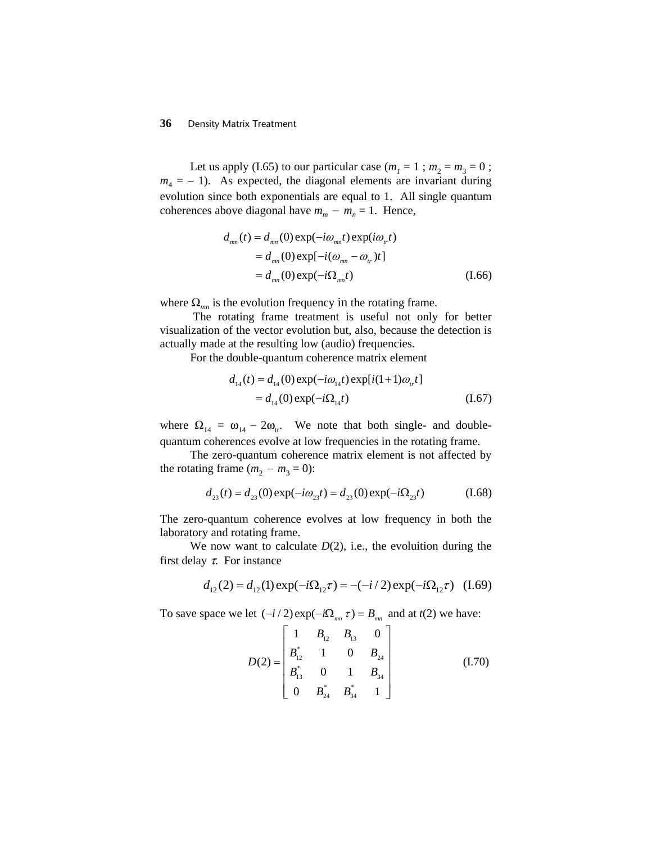Let us apply (I.65) to our particular case ( $m_1 = 1$ ;  $m_2 = m_3 = 0$ ;  $m_4 = -1$ ). As expected, the diagonal elements are invariant during evolution since both exponentials are equal to 1. All single quantum coherences above diagonal have  $m_m - m_n = 1$ . Hence,

$$
d_{mn}(t) = d_{mn}(0) \exp(-i\omega_{mn}t) \exp(i\omega_{n}t)
$$
  
= 
$$
d_{mn}(0) \exp[-i(\omega_{mn} - \omega_{n})t]
$$
  
= 
$$
d_{mn}(0) \exp(-i\Omega_{mn}t)
$$
 (1.66)

where  $\Omega_{mn}$  is the evolution frequency in the rotating frame.

The rotating frame treatment is useful not only for better visualization of the vector evolution but, also, because the detection is actually made at the resulting low (audio) frequencies.

For the double-quantum coherence matrix element

$$
d_{14}(t) = d_{14}(0) \exp(-i\omega_{14}t) \exp[i(1+1)\omega_{14}t]
$$
  
= d\_{14}(0) \exp(-i\Omega\_{14}t) (1.67)

where  $\Omega_{14} = \omega_{14} - 2\omega_{\text{tr}}$ . We note that both single- and doublequantum coherences evolve at low frequencies in the rotating frame.

The zero-quantum coherence matrix element is not affected by the rotating frame  $(m_2 - m_3 = 0)$ :

$$
d_{23}(t) = d_{23}(0) \exp(-i\omega_{23}t) = d_{23}(0) \exp(-i\Omega_{23}t)
$$
 (I.68)

The zero-quantum coherence evolves at low frequency in both the laboratory and rotating frame.

We now want to calculate  $D(2)$ , i.e., the evoluition during the first delay  $\tau$ . For instance

$$
d_{12}(2) = d_{12}(1) \exp(-i\Omega_{12}\tau) = -(-i/2) \exp(-i\Omega_{12}\tau)
$$
 (I.69)

To save space we let  $(-i/2) \exp(-i\Omega_{mn} \tau) = B_{mn}$  and at  $t(2)$  we have:

$$
D(2) = \begin{bmatrix} 1 & B_{12} & B_{13} & 0 \\ B_{12}^* & 1 & 0 & B_{24} \\ B_{13}^* & 0 & 1 & B_{34} \\ 0 & B_{24}^* & B_{34}^* & 1 \end{bmatrix}
$$
 (I.70)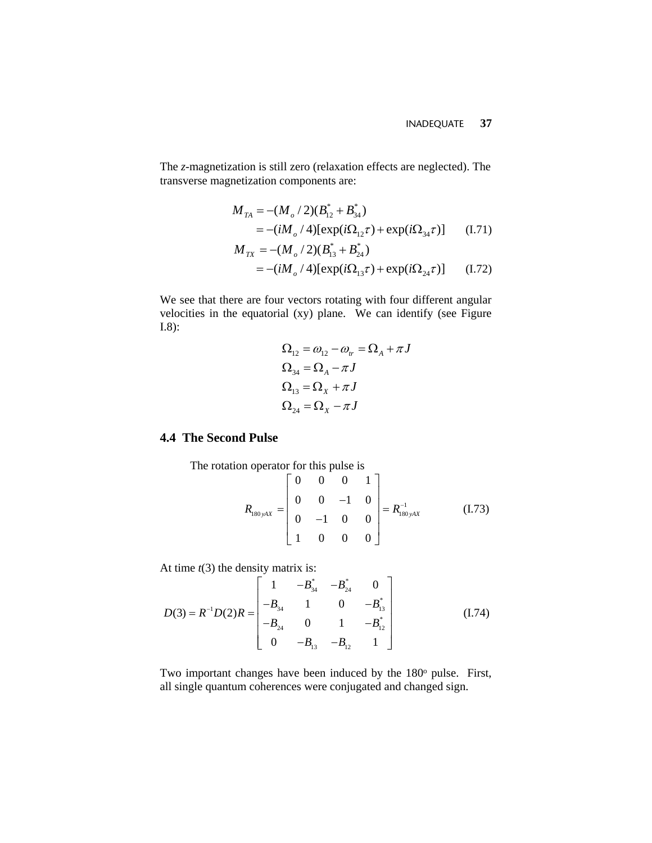The *z*-magnetization is still zero (relaxation effects are neglected). The transverse magnetization components are:

$$
M_{TA} = -(M_o/2)(B_{12}^* + B_{34}^*)
$$
  
= -(iM\_o/4)[exp(i\Omega\_{12}\tau) + exp(i\Omega\_{34}\tau)] (I.71)  

$$
M_{TX} = -(M_o/2)(B_{13}^* + B_{24}^*)
$$

$$
= -(iM_{_o}/4)[\exp(i\Omega_{13}\tau) + \exp(i\Omega_{24}\tau)]
$$
 (I.72)

We see that there are four vectors rotating with four different angular velocities in the equatorial (xy) plane. We can identify (see Figure I.8):

$$
\begin{aligned} \Omega_{12} &= \omega_{12} - \omega_{tr} = \Omega_A + \pi J \\ \Omega_{34} &= \Omega_A - \pi J \\ \Omega_{13} &= \Omega_X + \pi J \\ \Omega_{24} &= \Omega_X - \pi J \end{aligned}
$$

# **4.4 The Second Pulse**

The rotation operator for this pulse is

$$
R_{180 yAX} = \begin{bmatrix} 0 & 0 & 0 & 1 \\ 0 & 0 & -1 & 0 \\ 0 & -1 & 0 & 0 \\ 1 & 0 & 0 & 0 \end{bmatrix} = R_{180 yAX}^{-1}
$$
 (I.73)

At time  $t(3)$  the density matrix is:

$$
D(3) = R^{-1}D(2)R = \begin{bmatrix} 1 & -B_{34}^{*} & -B_{24}^{*} & 0 \\ -B_{34} & 1 & 0 & -B_{13}^{*} \\ -B_{24} & 0 & 1 & -B_{12}^{*} \\ 0 & -B_{13} & -B_{12} & 1 \end{bmatrix}
$$
(I.74)

Two important changes have been induced by the  $180^\circ$  pulse. First, all single quantum coherences were conjugated and changed sign.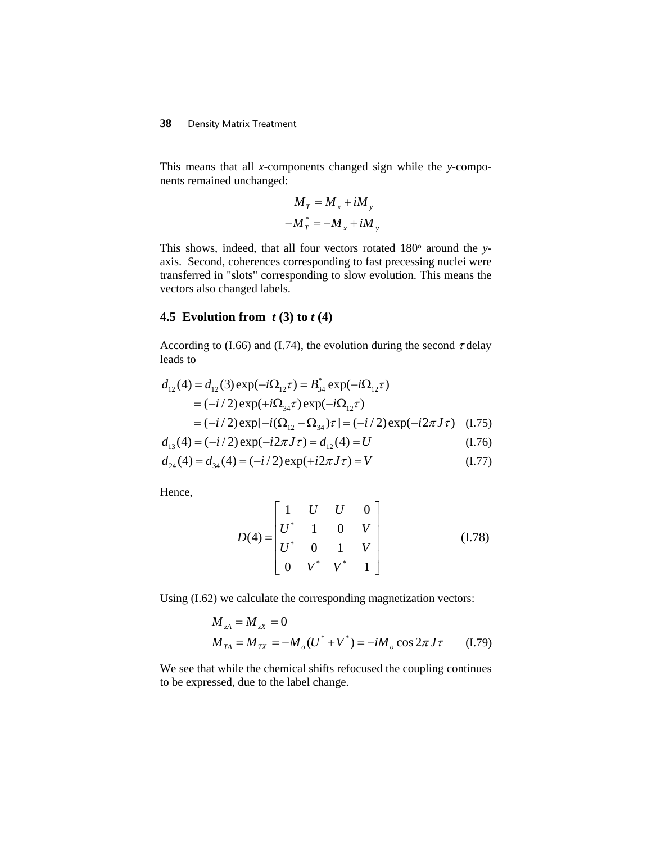This means that all *x*-components changed sign while the *y*-components remained unchanged:

$$
M_T = M_x + iM_y
$$
  

$$
-M_T^* = -M_x + iM_y
$$

This shows, indeed, that all four vectors rotated 180° around the *y*axis. Second, coherences corresponding to fast precessing nuclei were transferred in "slots" corresponding to slow evolution. This means the vectors also changed labels.

# **4.5 Evolution from** *t* **(3) to** *t* **(4)**

According to (I.66) and (I.74), the evolution during the second  $\tau$  delay leads to

$$
d_{12}(4) = d_{12}(3) \exp(-i\Omega_{12}\tau) = B_{34}^{*} \exp(-i\Omega_{12}\tau)
$$
  
=  $(-i/2) \exp(+i\Omega_{34}\tau) \exp(-i\Omega_{12}\tau)$   
=  $(-i/2) \exp[-i(\Omega_{12} - \Omega_{34})\tau] = (-i/2) \exp(-i2\pi J\tau)$  (I.75)

$$
d_{13}(4) = (-i/2) \exp(-i2\pi J\tau) = d_{12}(4) = U
$$
 (I.76)

$$
d_{24}(4) = d_{34}(4) = (-i/2) \exp(+i2\pi J\tau) = V
$$
 (I.77)

Hence,

$$
D(4) = \begin{bmatrix} 1 & U & U & 0 \\ U^* & 1 & 0 & V \\ U^* & 0 & 1 & V \\ 0 & V^* & V^* & 1 \end{bmatrix}
$$
 (I.78)

Using (I.62) we calculate the corresponding magnetization vectors:

$$
M_{zA} = M_{zx} = 0
$$
  

$$
M_{TA} = M_{TX} = -M_o(U^* + V^*) = -iM_o \cos 2\pi J \tau
$$
 (I.79)

We see that while the chemical shifts refocused the coupling continues to be expressed, due to the label change.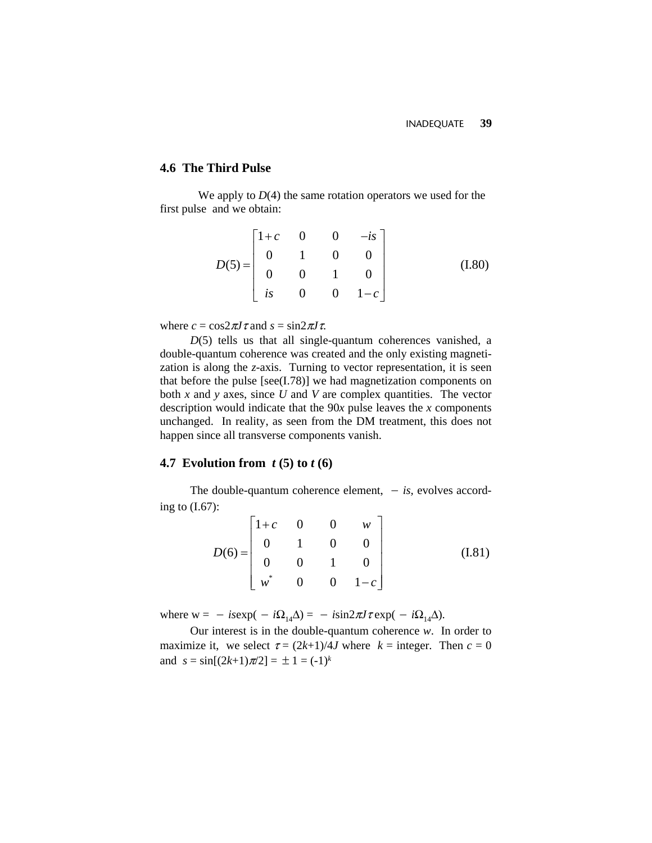#### **4.6 The Third Pulse**

We apply to  $D(4)$  the same rotation operators we used for the first pulse and we obtain:

$$
D(5) = \begin{bmatrix} 1+c & 0 & 0 & -is \\ 0 & 1 & 0 & 0 \\ 0 & 0 & 1 & 0 \\ is & 0 & 0 & 1-c \end{bmatrix}
$$
 (I.80)

where  $c = \cos 2\pi J \tau$  and  $s = \sin 2\pi J \tau$ .

*D*(5) tells us that all single-quantum coherences vanished, a double-quantum coherence was created and the only existing magnetization is along the *z*-axis. Turning to vector representation, it is seen that before the pulse [see(I.78)] we had magnetization components on both *x* and *y* axes, since *U* and *V* are complex quantities. The vector description would indicate that the 90*x* pulse leaves the *x* components unchanged. In reality, as seen from the DM treatment, this does not happen since all transverse components vanish.

# **4.7 Evolution from** *t* **(5) to** *t* **(6)**

The double-quantum coherence element, − *is*, evolves according to  $(I.67)$ :

$$
D(6) = \begin{bmatrix} 1+c & 0 & 0 & w \\ 0 & 1 & 0 & 0 \\ 0 & 0 & 1 & 0 \\ w^* & 0 & 0 & 1-c \end{bmatrix}
$$
 (I.81)

where  $w = -i$ *sexp*( $-i\Omega_{14}\Delta$ ) =  $-i\sin 2\pi J \tau$ exp( $-i\Omega_{14}\Delta$ ).

Our interest is in the double-quantum coherence *w*. In order to maximize it, we select  $\tau = (2k+1)/4J$  where  $k =$  integer. Then  $c = 0$ and  $s = \sin[(2k+1)\pi/2] = \pm 1 = (-1)^k$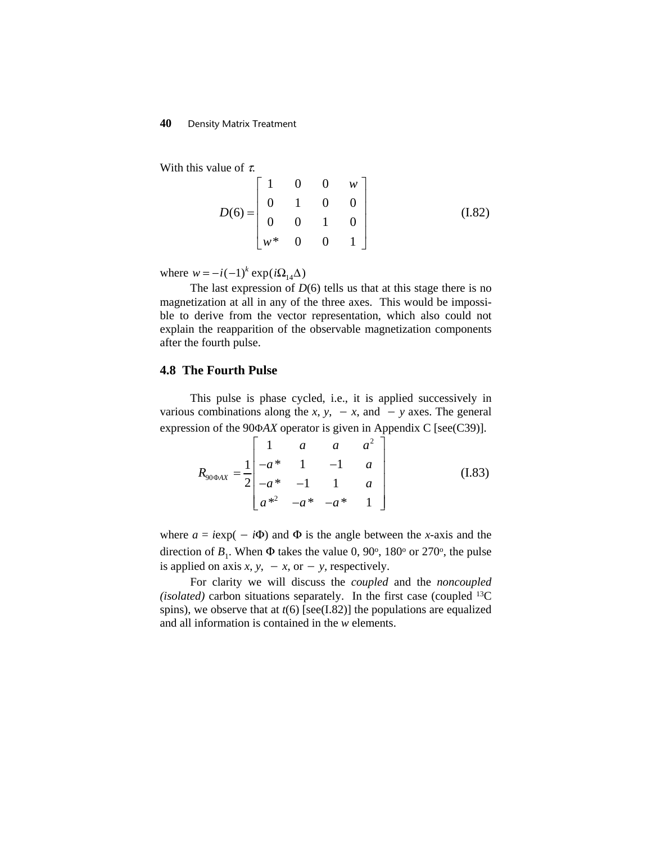With this value of  $\tau$ .

$$
D(6) = \begin{bmatrix} 1 & 0 & 0 & w \\ 0 & 1 & 0 & 0 \\ 0 & 0 & 1 & 0 \\ w^* & 0 & 0 & 1 \end{bmatrix}
$$
 (I.82)

where  $w = -i(-1)^k \exp(i\Omega_{14}\Delta)$ 

The last expression of  $D(6)$  tells us that at this stage there is no magnetization at all in any of the three axes. This would be impossible to derive from the vector representation, which also could not explain the reapparition of the observable magnetization components after the fourth pulse.

### **4.8 The Fourth Pulse**

This pulse is phase cycled, i.e., it is applied successively in various combinations along the *x*, *y*,  $-x$ , and  $-y$  axes. The general expression of the 90Φ*AX* operator is given in Appendix C [see(C39)].

$$
R_{90\Phi AX} = \frac{1}{2} \begin{bmatrix} 1 & a & a & a^2 \\ -a* & 1 & -1 & a \\ -a* & -1 & 1 & a \\ a*^2 & -a* & -a* & 1 \end{bmatrix}
$$
 (I.83)

where  $a = i \exp(-i\Phi)$  and  $\Phi$  is the angle between the *x*-axis and the direction of  $B_1$ . When  $\Phi$  takes the value 0, 90<sup>o</sup>, 180<sup>o</sup> or 270<sup>o</sup>, the pulse is applied on axis  $x$ ,  $y$ ,  $-x$ , or  $-y$ , respectively.

For clarity we will discuss the *coupled* and the *noncoupled (isolated)* carbon situations separately. In the first case (coupled 13C spins), we observe that at *t*(6) [see(I.82)] the populations are equalized and all information is contained in the *w* elements.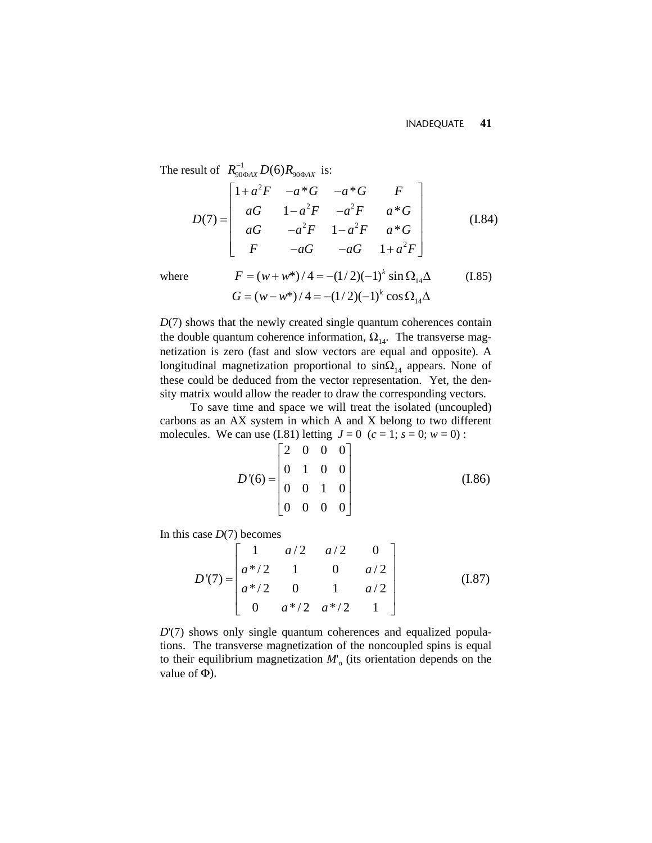The result of  $R_{90\Phi AX}^{-1} D(6) R_{90\Phi AX}$  is:  $_{\Phi AX}$   $\mathcal{D}(0)$  $\Lambda_{90\Phi}$ 

$$
D(7) = \begin{bmatrix} 1 + a^2 F & -a*G & -a*G & F \\ aG & 1 - a^2 F & -a^2 F & a*G \\ aG & -a^2 F & 1 - a^2 F & a*G \\ F & -aG & -aG & 1 + a^2 F \end{bmatrix}
$$
(I.84)

where 
$$
F = (w + w^*)/4 = -(1/2)(-1)^k \sin \Omega_{14} \Delta
$$
 (I.85)  
\n $G = (w - w^*)/4 = -(1/2)(-1)^k \cos \Omega_{14} \Delta$ 

*D*(7) shows that the newly created single quantum coherences contain the double quantum coherence information,  $\Omega_{14}$ . The transverse magnetization is zero (fast and slow vectors are equal and opposite). A longitudinal magnetization proportional to  $sin\Omega_{14}$  appears. None of these could be deduced from the vector representation. Yet, the density matrix would allow the reader to draw the corresponding vectors.

To save time and space we will treat the isolated (uncoupled) carbons as an AX system in which A and X belong to two different molecules. We can use (I.81) letting  $J = 0$  ( $c = 1$ ;  $s = 0$ ;  $w = 0$ ):

$$
D'(6) = \begin{bmatrix} 2 & 0 & 0 & 0 \\ 0 & 1 & 0 & 0 \\ 0 & 0 & 1 & 0 \\ 0 & 0 & 0 & 0 \end{bmatrix}
$$
 (I.86)

In this case *D*(7) becomes

$$
D'(7) = \begin{bmatrix} 1 & a/2 & a/2 & 0 \\ a*/2 & 1 & 0 & a/2 \\ a*/2 & 0 & 1 & a/2 \\ 0 & a*/2 & a*/2 & 1 \end{bmatrix}
$$
 (I.87)

*D*'(7) shows only single quantum coherences and equalized populations. The transverse magnetization of the noncoupled spins is equal to their equilibrium magnetization  $M$ <sup>o</sup> (its orientation depends on the value of  $\Phi$ ).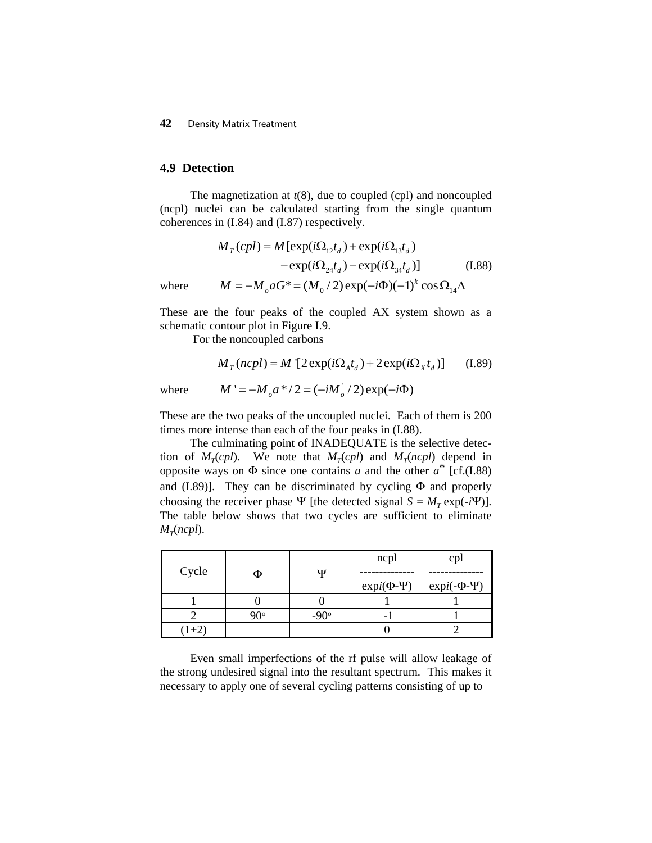#### **4.9 Detection**

The magnetization at *t*(8), due to coupled (cpl) and noncoupled (ncpl) nuclei can be calculated starting from the single quantum coherences in (I.84) and (I.87) respectively.

$$
M_T(cpl) = M[\exp(i\Omega_{12}t_d) + \exp(i\Omega_{13}t_d)
$$

$$
-\exp(i\Omega_{24}t_d) - \exp(i\Omega_{34}t_d)]
$$
(I.88)  
where 
$$
M = -M_o aG^* = (M_o/2)\exp(-i\Phi)(-1)^k \cos \Omega_{14}\Delta
$$

These are the four peaks of the coupled AX system shown as a schematic contour plot in Figure I.9.

For the noncoupled carbons

$$
M_T(ncpl) = M \left[2 \exp(i\Omega_A t_d) + 2 \exp(i\Omega_X t_d)\right]
$$
 (I.89)

where 
$$
M' = -M_o^i a^{*}/2 = (-iM_o^i/2) \exp(-i\Phi)
$$

These are the two peaks of the uncoupled nuclei. Each of them is 200 times more intense than each of the four peaks in (I.88).

The culminating point of INADEQUATE is the selective detection of  $M_T(cpl)$ . We note that  $M_T(cpl)$  and  $M_T(ncl)$  depend in opposite ways on  $\Phi$  since one contains *a* and the other  $a^*$  [cf.(I.88) and (I.89)]. They can be discriminated by cycling  $\Phi$  and properly choosing the receiver phase  $\Psi$  [the detected signal  $S = M_T \exp(-i\Psi)$ ]. The table below shows that two cycles are sufficient to eliminate  $M_{\tau}$ (*ncpl*).

|       |     |             | ncpl                | cpl                  |
|-------|-----|-------------|---------------------|----------------------|
| Cycle | Φ   | Ψ           |                     |                      |
|       |     |             | $expi(\Phi - \Psi)$ | $expi(-\Phi - \Psi)$ |
|       |     |             |                     |                      |
|       | ാറം | $-90^\circ$ |                     |                      |
| $1+2$ |     |             |                     |                      |

Even small imperfections of the rf pulse will allow leakage of the strong undesired signal into the resultant spectrum. This makes it necessary to apply one of several cycling patterns consisting of up to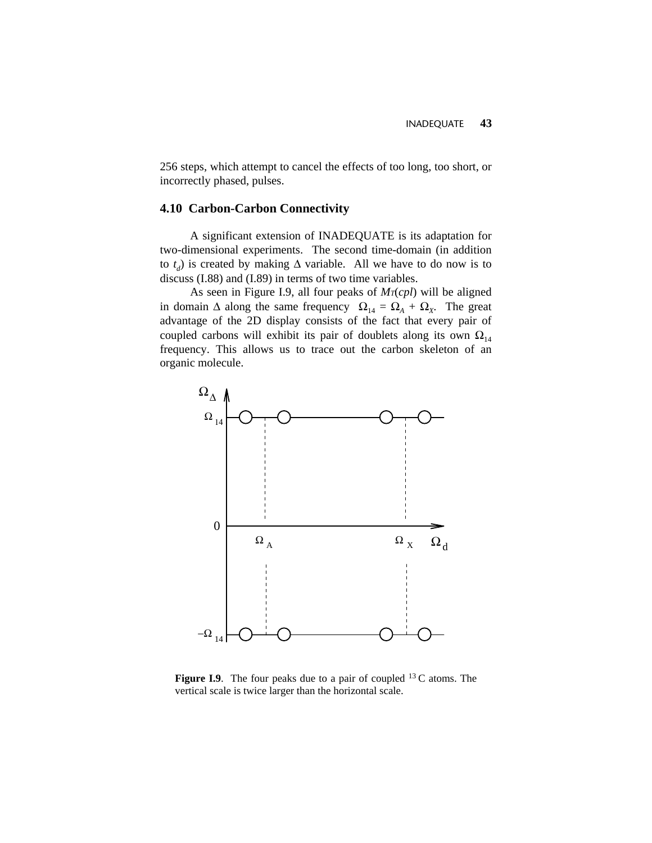256 steps, which attempt to cancel the effects of too long, too short, or incorrectly phased, pulses.

## **4.10 Carbon-Carbon Connectivity**

A significant extension of INADEQUATE is its adaptation for two-dimensional experiments. The second time-domain (in addition to  $t_d$ ) is created by making  $\Delta$  variable. All we have to do now is to discuss (I.88) and (I.89) in terms of two time variables.

As seen in Figure I.9, all four peaks of  $Mr(cpl)$  will be aligned in domain  $\Delta$  along the same frequency  $\Omega_{14} = \Omega_A + \Omega_X$ . The great advantage of the 2D display consists of the fact that every pair of coupled carbons will exhibit its pair of doublets along its own  $\Omega_{14}$ frequency. This allows us to trace out the carbon skeleton of an organic molecule.



Figure I.9. The four peaks due to a pair of coupled <sup>13</sup> C atoms. The vertical scale is twice larger than the horizontal scale.